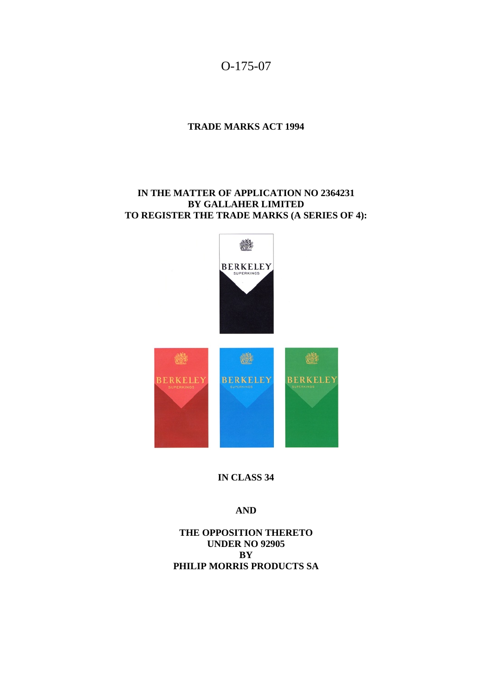

## **TRADE MARKS ACT 1994**

## **IN THE MATTER OF APPLICATION NO 2364231 BY GALLAHER LIMITED TO REGISTER THE TRADE MARKS (A SERIES OF 4):**



**IN CLASS 34** 

## **AND**

**THE OPPOSITION THERETO UNDER NO 92905 BY PHILIP MORRIS PRODUCTS SA**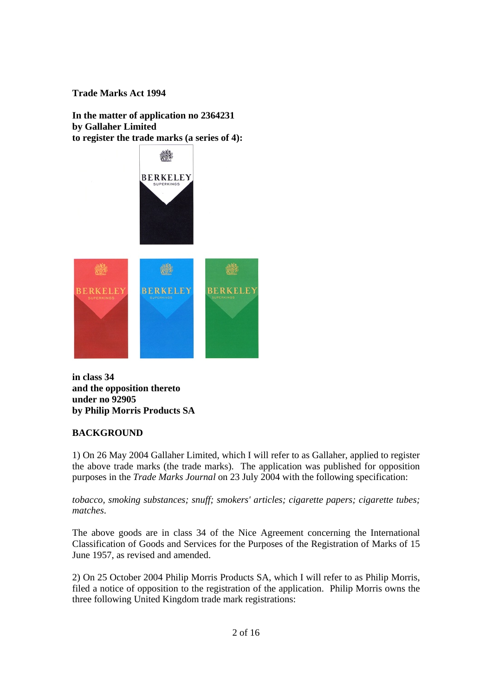**Trade Marks Act 1994** 

**In the matter of application no 2364231 by Gallaher Limited to register the trade marks (a series of 4):** 



**in class 34 and the opposition thereto under no 92905 by Philip Morris Products SA** 

# **BACKGROUND**

1) On 26 May 2004 Gallaher Limited, which I will refer to as Gallaher, applied to register the above trade marks (the trade marks). The application was published for opposition purposes in the *Trade Marks Journal* on 23 July 2004 with the following specification:

*tobacco, smoking substances; snuff; smokers' articles; cigarette papers; cigarette tubes; matches*.

The above goods are in class 34 of the Nice Agreement concerning the International Classification of Goods and Services for the Purposes of the Registration of Marks of 15 June 1957, as revised and amended.

2) On 25 October 2004 Philip Morris Products SA, which I will refer to as Philip Morris, filed a notice of opposition to the registration of the application. Philip Morris owns the three following United Kingdom trade mark registrations: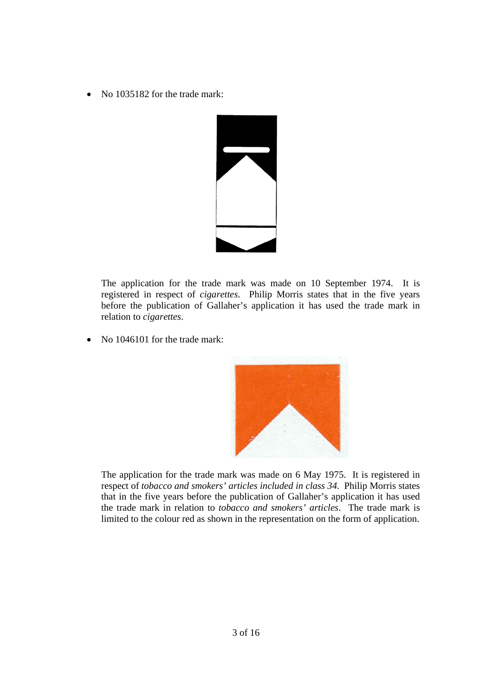• No 1035182 for the trade mark:



The application for the trade mark was made on 10 September 1974. It is registered in respect of *cigarettes*. Philip Morris states that in the five years before the publication of Gallaher's application it has used the trade mark in relation to *cigarettes*.

• No 1046101 for the trade mark:



The application for the trade mark was made on 6 May 1975. It is registered in respect of *tobacco and smokers' articles included in class 34*. Philip Morris states that in the five years before the publication of Gallaher's application it has used the trade mark in relation to *tobacco and smokers' articles*. The trade mark is limited to the colour red as shown in the representation on the form of application.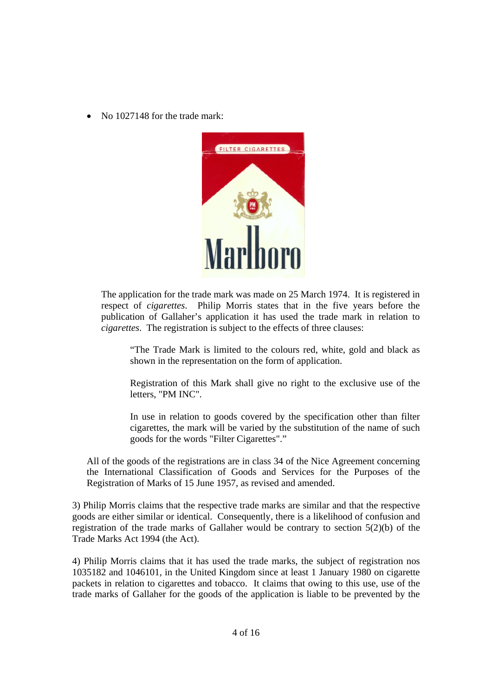• No 1027148 for the trade mark:



The application for the trade mark was made on 25 March 1974. It is registered in respect of *cigarettes*. Philip Morris states that in the five years before the publication of Gallaher's application it has used the trade mark in relation to *cigarettes*. The registration is subject to the effects of three clauses:

"The Trade Mark is limited to the colours red, white, gold and black as shown in the representation on the form of application.

Registration of this Mark shall give no right to the exclusive use of the letters, "PM INC".

In use in relation to goods covered by the specification other than filter cigarettes, the mark will be varied by the substitution of the name of such goods for the words "Filter Cigarettes"."

All of the goods of the registrations are in class 34 of the Nice Agreement concerning the International Classification of Goods and Services for the Purposes of the Registration of Marks of 15 June 1957, as revised and amended.

3) Philip Morris claims that the respective trade marks are similar and that the respective goods are either similar or identical. Consequently, there is a likelihood of confusion and registration of the trade marks of Gallaher would be contrary to section  $5(2)(b)$  of the Trade Marks Act 1994 (the Act).

4) Philip Morris claims that it has used the trade marks, the subject of registration nos 1035182 and 1046101, in the United Kingdom since at least 1 January 1980 on cigarette packets in relation to cigarettes and tobacco. It claims that owing to this use, use of the trade marks of Gallaher for the goods of the application is liable to be prevented by the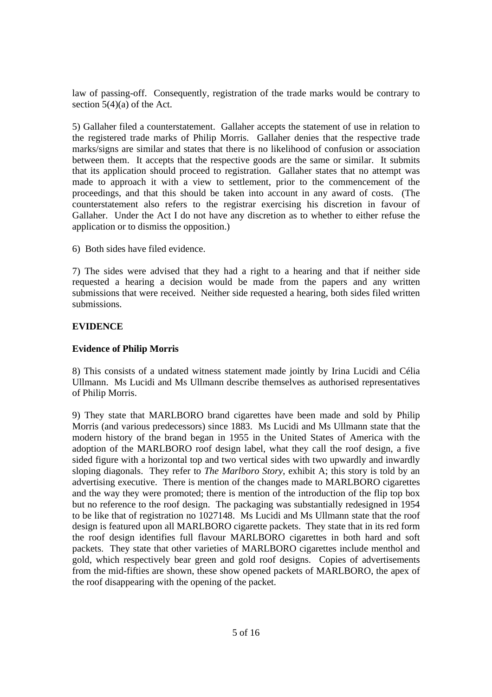law of passing-off. Consequently, registration of the trade marks would be contrary to section  $5(4)(a)$  of the Act.

5) Gallaher filed a counterstatement. Gallaher accepts the statement of use in relation to the registered trade marks of Philip Morris. Gallaher denies that the respective trade marks/signs are similar and states that there is no likelihood of confusion or association between them. It accepts that the respective goods are the same or similar. It submits that its application should proceed to registration. Gallaher states that no attempt was made to approach it with a view to settlement, prior to the commencement of the proceedings, and that this should be taken into account in any award of costs. (The counterstatement also refers to the registrar exercising his discretion in favour of Gallaher. Under the Act I do not have any discretion as to whether to either refuse the application or to dismiss the opposition.)

6) Both sides have filed evidence.

7) The sides were advised that they had a right to a hearing and that if neither side requested a hearing a decision would be made from the papers and any written submissions that were received. Neither side requested a hearing, both sides filed written submissions.

# **EVIDENCE**

# **Evidence of Philip Morris**

8) This consists of a undated witness statement made jointly by Irina Lucidi and Célia Ullmann. Ms Lucidi and Ms Ullmann describe themselves as authorised representatives of Philip Morris.

9) They state that MARLBORO brand cigarettes have been made and sold by Philip Morris (and various predecessors) since 1883. Ms Lucidi and Ms Ullmann state that the modern history of the brand began in 1955 in the United States of America with the adoption of the MARLBORO roof design label, what they call the roof design, a five sided figure with a horizontal top and two vertical sides with two upwardly and inwardly sloping diagonals. They refer to *The Marlboro Story*, exhibit A; this story is told by an advertising executive. There is mention of the changes made to MARLBORO cigarettes and the way they were promoted; there is mention of the introduction of the flip top box but no reference to the roof design. The packaging was substantially redesigned in 1954 to be like that of registration no 1027148. Ms Lucidi and Ms Ullmann state that the roof design is featured upon all MARLBORO cigarette packets. They state that in its red form the roof design identifies full flavour MARLBORO cigarettes in both hard and soft packets. They state that other varieties of MARLBORO cigarettes include menthol and gold, which respectively bear green and gold roof designs. Copies of advertisements from the mid-fifties are shown, these show opened packets of MARLBORO, the apex of the roof disappearing with the opening of the packet.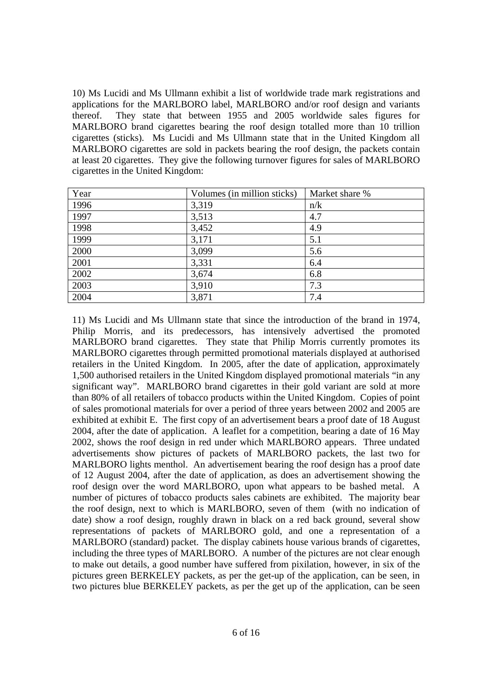10) Ms Lucidi and Ms Ullmann exhibit a list of worldwide trade mark registrations and applications for the MARLBORO label, MARLBORO and/or roof design and variants thereof. They state that between 1955 and 2005 worldwide sales figures for MARLBORO brand cigarettes bearing the roof design totalled more than 10 trillion cigarettes (sticks). Ms Lucidi and Ms Ullmann state that in the United Kingdom all MARLBORO cigarettes are sold in packets bearing the roof design, the packets contain at least 20 cigarettes. They give the following turnover figures for sales of MARLBORO cigarettes in the United Kingdom:

| Year | Volumes (in million sticks) | Market share % |
|------|-----------------------------|----------------|
| 1996 | 3,319                       | n/k            |
| 1997 | 3,513                       | 4.7            |
| 1998 | 3,452                       | 4.9            |
| 1999 | 3,171                       | 5.1            |
| 2000 | 3,099                       | 5.6            |
| 2001 | 3,331                       | 6.4            |
| 2002 | 3,674                       | 6.8            |
| 2003 | 3,910                       | 7.3            |
| 2004 | 3,871                       | 7.4            |

11) Ms Lucidi and Ms Ullmann state that since the introduction of the brand in 1974, Philip Morris, and its predecessors, has intensively advertised the promoted MARLBORO brand cigarettes. They state that Philip Morris currently promotes its MARLBORO cigarettes through permitted promotional materials displayed at authorised retailers in the United Kingdom. In 2005, after the date of application, approximately 1,500 authorised retailers in the United Kingdom displayed promotional materials "in any significant way". MARLBORO brand cigarettes in their gold variant are sold at more than 80% of all retailers of tobacco products within the United Kingdom. Copies of point of sales promotional materials for over a period of three years between 2002 and 2005 are exhibited at exhibit E. The first copy of an advertisement bears a proof date of 18 August 2004, after the date of application. A leaflet for a competition, bearing a date of 16 May 2002, shows the roof design in red under which MARLBORO appears. Three undated advertisements show pictures of packets of MARLBORO packets, the last two for MARLBORO lights menthol. An advertisement bearing the roof design has a proof date of 12 August 2004, after the date of application, as does an advertisement showing the roof design over the word MARLBORO, upon what appears to be bashed metal. A number of pictures of tobacco products sales cabinets are exhibited. The majority bear the roof design, next to which is MARLBORO, seven of them (with no indication of date) show a roof design, roughly drawn in black on a red back ground, several show representations of packets of MARLBORO gold, and one a representation of a MARLBORO (standard) packet. The display cabinets house various brands of cigarettes, including the three types of MARLBORO. A number of the pictures are not clear enough to make out details, a good number have suffered from pixilation, however, in six of the pictures green BERKELEY packets, as per the get-up of the application, can be seen, in two pictures blue BERKELEY packets, as per the get up of the application, can be seen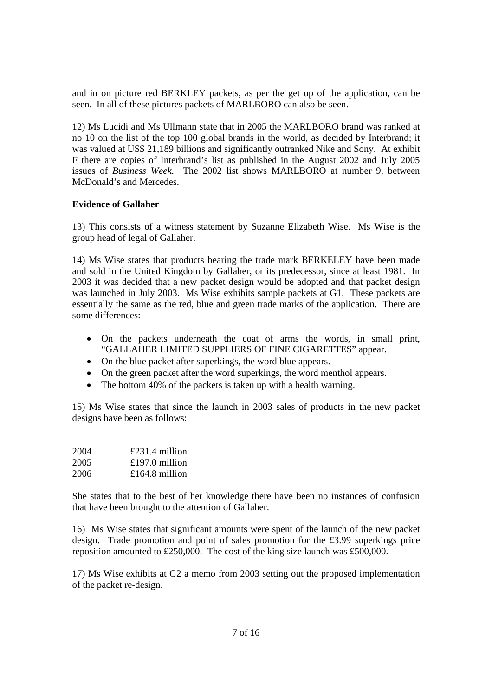and in on picture red BERKLEY packets, as per the get up of the application, can be seen. In all of these pictures packets of MARLBORO can also be seen.

12) Ms Lucidi and Ms Ullmann state that in 2005 the MARLBORO brand was ranked at no 10 on the list of the top 100 global brands in the world, as decided by Interbrand; it was valued at US\$ 21,189 billions and significantly outranked Nike and Sony. At exhibit F there are copies of Interbrand's list as published in the August 2002 and July 2005 issues of *Business Week*. The 2002 list shows MARLBORO at number 9, between McDonald's and Mercedes.

## **Evidence of Gallaher**

13) This consists of a witness statement by Suzanne Elizabeth Wise. Ms Wise is the group head of legal of Gallaher.

14) Ms Wise states that products bearing the trade mark BERKELEY have been made and sold in the United Kingdom by Gallaher, or its predecessor, since at least 1981. In 2003 it was decided that a new packet design would be adopted and that packet design was launched in July 2003. Ms Wise exhibits sample packets at G1. These packets are essentially the same as the red, blue and green trade marks of the application. There are some differences:

- On the packets underneath the coat of arms the words, in small print, "GALLAHER LIMITED SUPPLIERS OF FINE CIGARETTES" appear.
- On the blue packet after superkings, the word blue appears.
- On the green packet after the word superkings, the word menthol appears.
- The bottom 40% of the packets is taken up with a health warning.

15) Ms Wise states that since the launch in 2003 sales of products in the new packet designs have been as follows:

| 2004 | $£231.4$ million |
|------|------------------|
| 2005 | £197.0 million   |
| 2006 | £164.8 million   |

She states that to the best of her knowledge there have been no instances of confusion that have been brought to the attention of Gallaher.

16) Ms Wise states that significant amounts were spent of the launch of the new packet design. Trade promotion and point of sales promotion for the £3.99 superkings price reposition amounted to £250,000. The cost of the king size launch was £500,000.

17) Ms Wise exhibits at G2 a memo from 2003 setting out the proposed implementation of the packet re-design.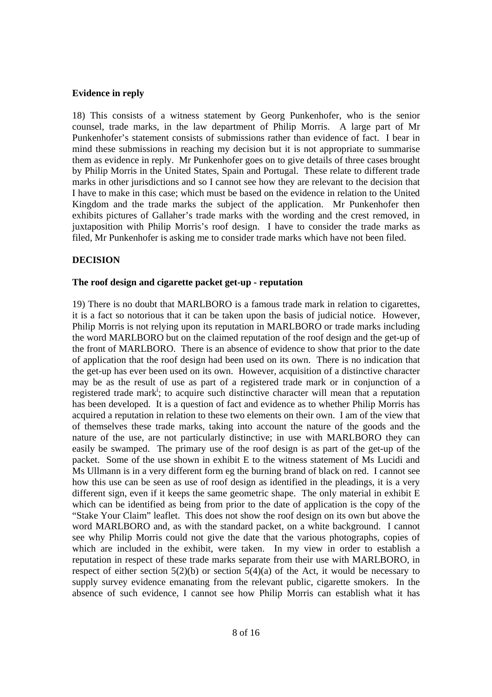## **Evidence in reply**

18) This consists of a witness statement by Georg Punkenhofer, who is the senior counsel, trade marks, in the law department of Philip Morris. A large part of Mr Punkenhofer's statement consists of submissions rather than evidence of fact. I bear in mind these submissions in reaching my decision but it is not appropriate to summarise them as evidence in reply. Mr Punkenhofer goes on to give details of three cases brought by Philip Morris in the United States, Spain and Portugal. These relate to different trade marks in other jurisdictions and so I cannot see how they are relevant to the decision that I have to make in this case; which must be based on the evidence in relation to the United Kingdom and the trade marks the subject of the application. Mr Punkenhofer then exhibits pictures of Gallaher's trade marks with the wording and the crest removed, in juxtaposition with Philip Morris's roof design. I have to consider the trade marks as filed, Mr Punkenhofer is asking me to consider trade marks which have not been filed.

# **DECISION**

### **The roof design and cigarette packet get-up - reputation**

19) There is no doubt that MARLBORO is a famous trade mark in relation to cigarettes, it is a fact so notorious that it can be taken upon the basis of judicial notice. However, Philip Morris is not relying upon its reputation in MARLBORO or trade marks including the word MARLBORO but on the claimed reputation of the roof design and the get-up of the front of MARLBORO. There is an absence of evidence to show that prior to the date of application that the roof design had been used on its own. There is no indication that the get-up has ever been used on its own. However, acquisition of a distinctive character may be as the result of use as part of a registered trade mark or in conjunction of a registered trade mark<sup>i</sup>; to acquire such distinctive character will mean that a reputation has been developed. It is a question of fact and evidence as to whether Philip Morris has acquired a reputation in relation to these two elements on their own. I am of the view that of themselves these trade marks, taking into account the nature of the goods and the nature of the use, are not particularly distinctive; in use with MARLBORO they can easily be swamped. The primary use of the roof design is as part of the get-up of the packet. Some of the use shown in exhibit E to the witness statement of Ms Lucidi and Ms Ullmann is in a very different form eg the burning brand of black on red. I cannot see how this use can be seen as use of roof design as identified in the pleadings, it is a very different sign, even if it keeps the same geometric shape. The only material in exhibit E which can be identified as being from prior to the date of application is the copy of the "Stake Your Claim" leaflet. This does not show the roof design on its own but above the word MARLBORO and, as with the standard packet, on a white background. I cannot see why Philip Morris could not give the date that the various photographs, copies of which are included in the exhibit, were taken. In my view in order to establish a reputation in respect of these trade marks separate from their use with MARLBORO, in respect of either section  $5(2)(b)$  or section  $5(4)(a)$  of the Act, it would be necessary to supply survey evidence emanating from the relevant public, cigarette smokers. In the absence of such evidence, I cannot see how Philip Morris can establish what it has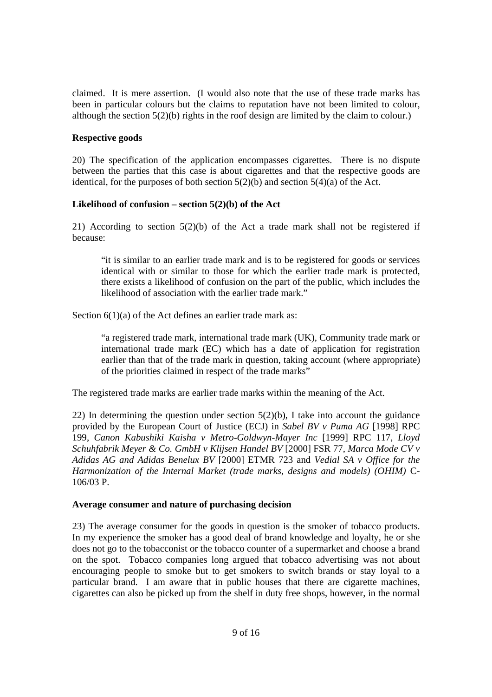claimed. It is mere assertion. (I would also note that the use of these trade marks has been in particular colours but the claims to reputation have not been limited to colour, although the section 5(2)(b) rights in the roof design are limited by the claim to colour.)

## **Respective goods**

20) The specification of the application encompasses cigarettes. There is no dispute between the parties that this case is about cigarettes and that the respective goods are identical, for the purposes of both section  $5(2)(b)$  and section  $5(4)(a)$  of the Act.

# **Likelihood of confusion – section 5(2)(b) of the Act**

21) According to section 5(2)(b) of the Act a trade mark shall not be registered if because:

"it is similar to an earlier trade mark and is to be registered for goods or services identical with or similar to those for which the earlier trade mark is protected, there exists a likelihood of confusion on the part of the public, which includes the likelihood of association with the earlier trade mark."

Section  $6(1)(a)$  of the Act defines an earlier trade mark as:

"a registered trade mark, international trade mark (UK), Community trade mark or international trade mark (EC) which has a date of application for registration earlier than that of the trade mark in question, taking account (where appropriate) of the priorities claimed in respect of the trade marks"

The registered trade marks are earlier trade marks within the meaning of the Act.

22) In determining the question under section  $5(2)(b)$ , I take into account the guidance provided by the European Court of Justice (ECJ) in *Sabel BV v Puma AG* [1998] RPC 199, *Canon Kabushiki Kaisha v Metro-Goldwyn-Mayer Inc* [1999] RPC 117, *Lloyd Schuhfabrik Meyer & Co. GmbH v Klijsen Handel BV* [2000] FSR 77, *Marca Mode CV v Adidas AG and Adidas Benelux BV* [2000] ETMR 723 and *Vedial SA v Office for the Harmonization of the Internal Market (trade marks, designs and models) (OHIM)* C-106/03 P.

### **Average consumer and nature of purchasing decision**

23) The average consumer for the goods in question is the smoker of tobacco products. In my experience the smoker has a good deal of brand knowledge and loyalty, he or she does not go to the tobacconist or the tobacco counter of a supermarket and choose a brand on the spot. Tobacco companies long argued that tobacco advertising was not about encouraging people to smoke but to get smokers to switch brands or stay loyal to a particular brand. I am aware that in public houses that there are cigarette machines, cigarettes can also be picked up from the shelf in duty free shops, however, in the normal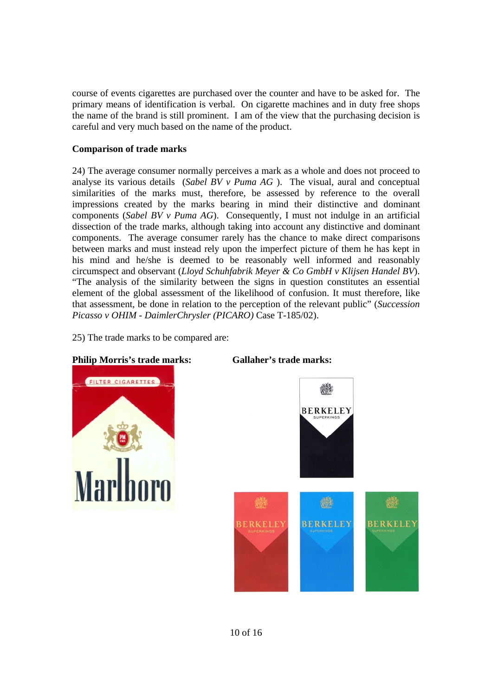course of events cigarettes are purchased over the counter and have to be asked for. The primary means of identification is verbal. On cigarette machines and in duty free shops the name of the brand is still prominent. I am of the view that the purchasing decision is careful and very much based on the name of the product.

## **Comparison of trade marks**

24) The average consumer normally perceives a mark as a whole and does not proceed to analyse its various details (*Sabel BV v Puma AG* ). The visual, aural and conceptual similarities of the marks must, therefore, be assessed by reference to the overall impressions created by the marks bearing in mind their distinctive and dominant components (*Sabel BV v Puma AG*). Consequently, I must not indulge in an artificial dissection of the trade marks, although taking into account any distinctive and dominant components. The average consumer rarely has the chance to make direct comparisons between marks and must instead rely upon the imperfect picture of them he has kept in his mind and he/she is deemed to be reasonably well informed and reasonably circumspect and observant (*Lloyd Schuhfabrik Meyer & Co GmbH v Klijsen Handel BV*). "The analysis of the similarity between the signs in question constitutes an essential element of the global assessment of the likelihood of confusion. It must therefore, like that assessment, be done in relation to the perception of the relevant public" (*Succession Picasso v OHIM - DaimlerChrysler (PICARO)* Case T-185/02).

25) The trade marks to be compared are:

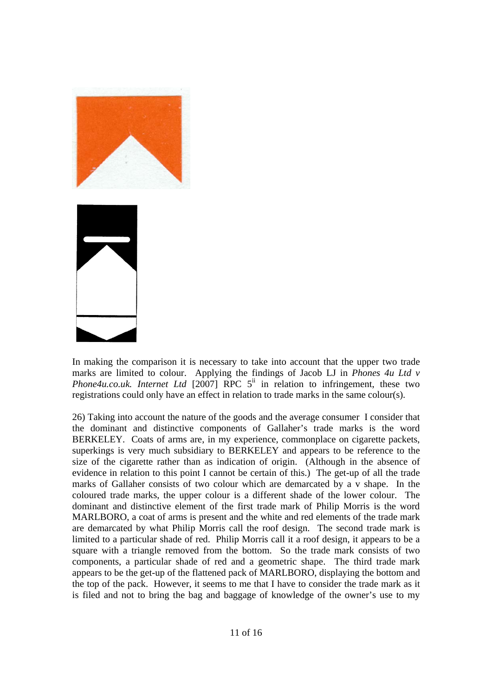

In making the comparison it is necessary to take into account that the upper two trade marks are limited to colour. Applying the findings of Jacob LJ in *Phones 4u Ltd v Phone4u.co.uk. Internet Ltd* [2007] RPC  $5^{\text{ii}}$  in relation to infringement, these two registrations could only have an effect in relation to trade marks in the same colour(s).

26) Taking into account the nature of the goods and the average consumer I consider that the dominant and distinctive components of Gallaher's trade marks is the word BERKELEY. Coats of arms are, in my experience, commonplace on cigarette packets, superkings is very much subsidiary to BERKELEY and appears to be reference to the size of the cigarette rather than as indication of origin. (Although in the absence of evidence in relation to this point I cannot be certain of this.) The get-up of all the trade marks of Gallaher consists of two colour which are demarcated by a v shape. In the coloured trade marks, the upper colour is a different shade of the lower colour. The dominant and distinctive element of the first trade mark of Philip Morris is the word MARLBORO, a coat of arms is present and the white and red elements of the trade mark are demarcated by what Philip Morris call the roof design. The second trade mark is limited to a particular shade of red. Philip Morris call it a roof design, it appears to be a square with a triangle removed from the bottom. So the trade mark consists of two components, a particular shade of red and a geometric shape. The third trade mark appears to be the get-up of the flattened pack of MARLBORO, displaying the bottom and the top of the pack. However, it seems to me that I have to consider the trade mark as it is filed and not to bring the bag and baggage of knowledge of the owner's use to my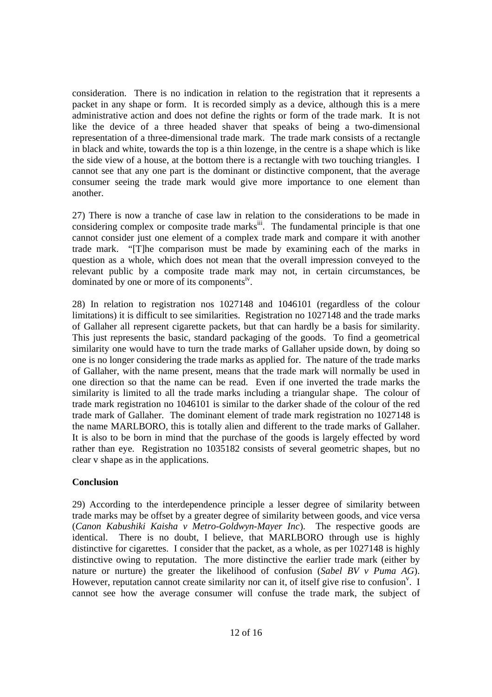consideration. There is no indication in relation to the registration that it represents a packet in any shape or form. It is recorded simply as a device, although this is a mere administrative action and does not define the rights or form of the trade mark. It is not like the device of a three headed shaver that speaks of being a two-dimensional representation of a three-dimensional trade mark. The trade mark consists of a rectangle in black and white, towards the top is a thin lozenge, in the centre is a shape which is like the side view of a house, at the bottom there is a rectangle with two touching triangles. I cannot see that any one part is the dominant or distinctive component, that the average consumer seeing the trade mark would give more importance to one element than another.

27) There is now a tranche of case law in relation to the considerations to be made in considering complex or composite trade marks<sup>iii</sup>. The fundamental principle is that one cannot consider just one element of a complex trade mark and compare it with another trade mark. "[T]he comparison must be made by examining each of the marks in question as a whole, which does not mean that the overall impression conveyed to the relevant public by a composite trade mark may not, in certain circumstances, be dominated by one or more of its components<sup>iv</sup>.

28) In relation to registration nos 1027148 and 1046101 (regardless of the colour limitations) it is difficult to see similarities. Registration no 1027148 and the trade marks of Gallaher all represent cigarette packets, but that can hardly be a basis for similarity. This just represents the basic, standard packaging of the goods. To find a geometrical similarity one would have to turn the trade marks of Gallaher upside down, by doing so one is no longer considering the trade marks as applied for. The nature of the trade marks of Gallaher, with the name present, means that the trade mark will normally be used in one direction so that the name can be read. Even if one inverted the trade marks the similarity is limited to all the trade marks including a triangular shape. The colour of trade mark registration no 1046101 is similar to the darker shade of the colour of the red trade mark of Gallaher. The dominant element of trade mark registration no 1027148 is the name MARLBORO, this is totally alien and different to the trade marks of Gallaher. It is also to be born in mind that the purchase of the goods is largely effected by word rather than eye. Registration no 1035182 consists of several geometric shapes, but no clear v shape as in the applications.

# **Conclusion**

29) According to the interdependence principle a lesser degree of similarity between trade marks may be offset by a greater degree of similarity between goods, and vice versa (*Canon Kabushiki Kaisha v Metro-Goldwyn-Mayer Inc*). The respective goods are identical. There is no doubt, I believe, that MARLBORO through use is highly distinctive for cigarettes. I consider that the packet, as a whole, as per 1027148 is highly distinctive owing to reputation. The more distinctive the earlier trade mark (either by nature or nurture) the greater the likelihood of confusion (*Sabel BV v Puma AG*). However, reputation cannot create similarity nor can it, of itself give rise to confusion<sup>v</sup>. I cannot see how the average consumer will confuse the trade mark, the subject of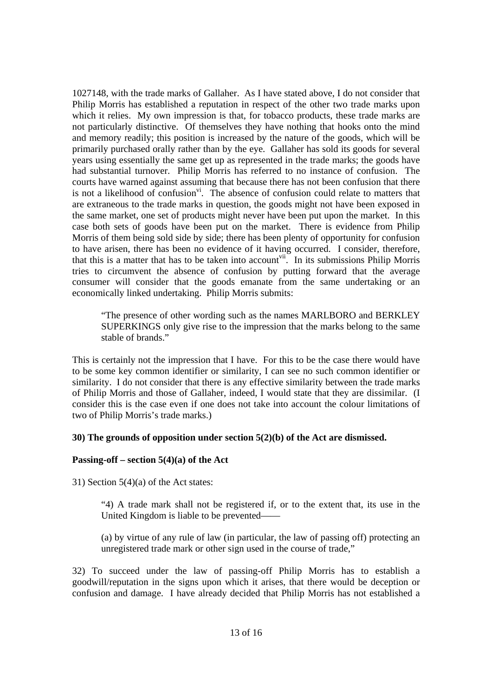1027148, with the trade marks of Gallaher. As I have stated above, I do not consider that Philip Morris has established a reputation in respect of the other two trade marks upon which it relies. My own impression is that, for tobacco products, these trade marks are not particularly distinctive. Of themselves they have nothing that hooks onto the mind and memory readily; this position is increased by the nature of the goods, which will be primarily purchased orally rather than by the eye. Gallaher has sold its goods for several years using essentially the same get up as represented in the trade marks; the goods have had substantial turnover. Philip Morris has referred to no instance of confusion. The courts have warned against assuming that because there has not been confusion that there is not a likelihood of confusion $\overline{v}$ . The absence of confusion could relate to matters that are extraneous to the trade marks in question, the goods might not have been exposed in the same market, one set of products might never have been put upon the market. In this case both sets of goods have been put on the market. There is evidence from Philip Morris of them being sold side by side; there has been plenty of opportunity for confusion to have arisen, there has been no evidence of it having occurred. I consider, therefore, that this is a matter that has to be taken into account<sup>vii</sup>. In its submissions Philip Morris tries to circumvent the absence of confusion by putting forward that the average consumer will consider that the goods emanate from the same undertaking or an economically linked undertaking. Philip Morris submits:

"The presence of other wording such as the names MARLBORO and BERKLEY SUPERKINGS only give rise to the impression that the marks belong to the same stable of brands."

This is certainly not the impression that I have. For this to be the case there would have to be some key common identifier or similarity, I can see no such common identifier or similarity. I do not consider that there is any effective similarity between the trade marks of Philip Morris and those of Gallaher, indeed, I would state that they are dissimilar. (I consider this is the case even if one does not take into account the colour limitations of two of Philip Morris's trade marks.)

### **30) The grounds of opposition under section 5(2)(b) of the Act are dismissed.**

### **Passing-off – section 5(4)(a) of the Act**

31) Section  $5(4)(a)$  of the Act states:

"4) A trade mark shall not be registered if, or to the extent that, its use in the United Kingdom is liable to be prevented——

(a) by virtue of any rule of law (in particular, the law of passing off) protecting an unregistered trade mark or other sign used in the course of trade,"

32) To succeed under the law of passing-off Philip Morris has to establish a goodwill/reputation in the signs upon which it arises, that there would be deception or confusion and damage. I have already decided that Philip Morris has not established a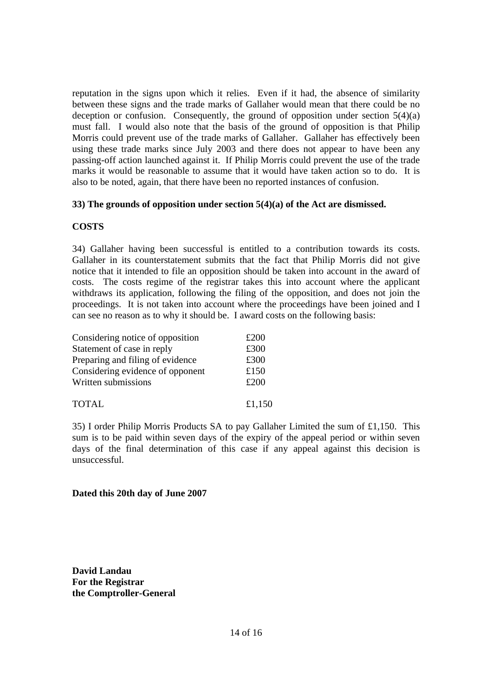reputation in the signs upon which it relies. Even if it had, the absence of similarity between these signs and the trade marks of Gallaher would mean that there could be no deception or confusion. Consequently, the ground of opposition under section  $5(4)(a)$ must fall. I would also note that the basis of the ground of opposition is that Philip Morris could prevent use of the trade marks of Gallaher. Gallaher has effectively been using these trade marks since July 2003 and there does not appear to have been any passing-off action launched against it. If Philip Morris could prevent the use of the trade marks it would be reasonable to assume that it would have taken action so to do. It is also to be noted, again, that there have been no reported instances of confusion.

### **33) The grounds of opposition under section 5(4)(a) of the Act are dismissed.**

## **COSTS**

34) Gallaher having been successful is entitled to a contribution towards its costs. Gallaher in its counterstatement submits that the fact that Philip Morris did not give notice that it intended to file an opposition should be taken into account in the award of costs. The costs regime of the registrar takes this into account where the applicant withdraws its application, following the filing of the opposition, and does not join the proceedings. It is not taken into account where the proceedings have been joined and I can see no reason as to why it should be. I award costs on the following basis:

| Considering notice of opposition | £200   |
|----------------------------------|--------|
| Statement of case in reply       | £300   |
| Preparing and filing of evidence | £300   |
| Considering evidence of opponent | £150   |
| Written submissions              | £200   |
| <b>TOTAL</b>                     | £1,150 |

35) I order Philip Morris Products SA to pay Gallaher Limited the sum of £1,150. This sum is to be paid within seven days of the expiry of the appeal period or within seven days of the final determination of this case if any appeal against this decision is unsuccessful.

### **Dated this 20th day of June 2007**

**David Landau For the Registrar the Comptroller-General**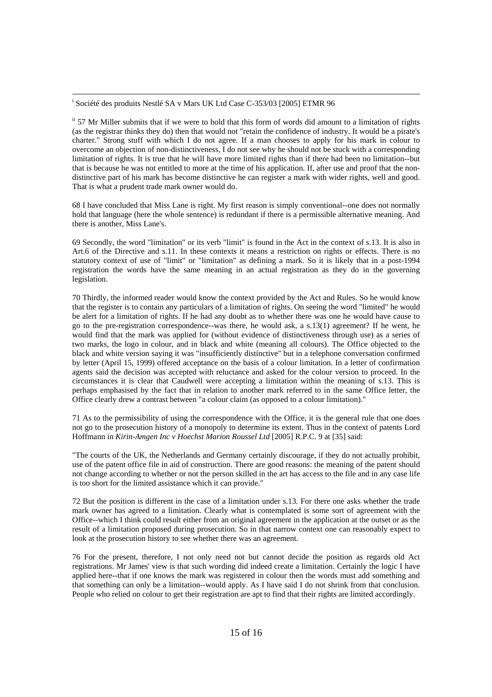i <sup>i</sup> Société des produits Nestlé SA v Mars UK Ltd Case C-353/03 [2005] ETMR 96

ii 57 Mr Miller submits that if we were to hold that this form of words did amount to a limitation of rights (as the registrar thinks they do) then that would not "retain the confidence of industry. It would be a pirate's charter." Strong stuff with which I do not agree. If a man chooses to apply for his mark in colour to overcome an objection of non-distinctiveness, I do not see why he should not be stuck with a corresponding limitation of rights. It is true that he will have more limited rights than if there had been no limitation--but that is because he was not entitled to more at the time of his application. If, after use and proof that the nondistinctive part of his mark has become distinctive he can register a mark with wider rights, well and good. That is what a prudent trade mark owner would do.

68 I have concluded that Miss Lane is right. My first reason is simply conventional--one does not normally hold that language (here the whole sentence) is redundant if there is a permissible alternative meaning. And there is another, Miss Lane's.

69 Secondly, the word "limitation" or its verb "limit" is found in the Act in the context of s.13. It is also in Art.6 of the Directive and s.11. In these contexts it means a restriction on rights or effects. There is no statutory context of use of "limit" or "limitation" as defining a mark. So it is likely that in a post-1994 registration the words have the same meaning in an actual registration as they do in the governing legislation.

70 Thirdly, the informed reader would know the context provided by the Act and Rules. So he would know that the register is to contain any particulars of a limitation of rights. On seeing the word "limited" he would be alert for a limitation of rights. If he had any doubt as to whether there was one he would have cause to go to the pre-registration correspondence--was there, he would ask, a s.13(1) agreement? If he went, he would find that the mark was applied for (without evidence of distinctiveness through use) as a series of two marks, the logo in colour, and in black and white (meaning all colours). The Office objected to the black and white version saying it was "insufficiently distinctive" but in a telephone conversation confirmed by letter (April 15, 1999) offered acceptance on the basis of a colour limitation. In a letter of confirmation agents said the decision was accepted with reluctance and asked for the colour version to proceed. In the circumstances it is clear that Caudwell were accepting a limitation within the meaning of s.13. This is perhaps emphasised by the fact that in relation to another mark referred to in the same Office letter, the Office clearly drew a contrast between "a colour claim (as opposed to a colour limitation)."

71 As to the permissibility of using the correspondence with the Office, it is the general rule that one does not go to the prosecution history of a monopoly to determine its extent. Thus in the context of patents Lord Hoffmann in *Kirin-Amgen Inc v Hoechst Marion Roussel Ltd* [2005] R.P.C. 9 at [35] said:

"The courts of the UK, the Netherlands and Germany certainly discourage, if they do not actually prohibit, use of the patent office file in aid of construction. There are good reasons: the meaning of the patent should not change according to whether or not the person skilled in the art has access to the file and in any case life is too short for the limited assistance which it can provide."

72 But the position is different in the case of a limitation under s.13. For there one asks whether the trade mark owner has agreed to a limitation. Clearly what is contemplated is some sort of agreement with the Office--which I think could result either from an original agreement in the application at the outset or as the result of a limitation proposed during prosecution. So in that narrow context one can reasonably expect to look at the prosecution history to see whether there was an agreement.

76 For the present, therefore, I not only need not but cannot decide the position as regards old Act registrations. Mr James' view is that such wording did indeed create a limitation. Certainly the logic I have applied here--that if one knows the mark was registered in colour then the words must add something and that something can only be a limitation--would apply. As I have said I do not shrink from that conclusion. People who relied on colour to get their registration are apt to find that their rights are limited accordingly.